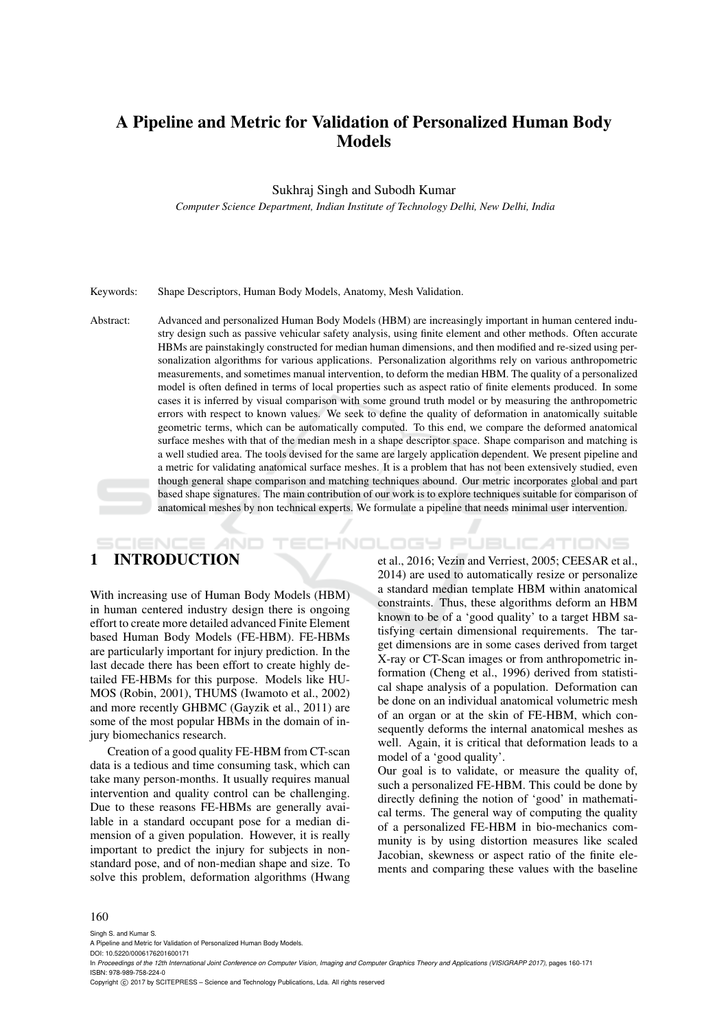# A Pipeline and Metric for Validation of Personalized Human Body Models

#### Sukhraj Singh and Subodh Kumar

*Computer Science Department, Indian Institute of Technology Delhi, New Delhi, India*

#### Keywords: Shape Descriptors, Human Body Models, Anatomy, Mesh Validation.

Abstract: Advanced and personalized Human Body Models (HBM) are increasingly important in human centered industry design such as passive vehicular safety analysis, using finite element and other methods. Often accurate HBMs are painstakingly constructed for median human dimensions, and then modified and re-sized using personalization algorithms for various applications. Personalization algorithms rely on various anthropometric measurements, and sometimes manual intervention, to deform the median HBM. The quality of a personalized model is often defined in terms of local properties such as aspect ratio of finite elements produced. In some cases it is inferred by visual comparison with some ground truth model or by measuring the anthropometric errors with respect to known values. We seek to define the quality of deformation in anatomically suitable geometric terms, which can be automatically computed. To this end, we compare the deformed anatomical surface meshes with that of the median mesh in a shape descriptor space. Shape comparison and matching is a well studied area. The tools devised for the same are largely application dependent. We present pipeline and a metric for validating anatomical surface meshes. It is a problem that has not been extensively studied, even though general shape comparison and matching techniques abound. Our metric incorporates global and part based shape signatures. The main contribution of our work is to explore techniques suitable for comparison of anatomical meshes by non technical experts. We formulate a pipeline that needs minimal user intervention.

# 1 INTRODUCTION

With increasing use of Human Body Models (HBM) in human centered industry design there is ongoing effort to create more detailed advanced Finite Element based Human Body Models (FE-HBM). FE-HBMs are particularly important for injury prediction. In the last decade there has been effort to create highly detailed FE-HBMs for this purpose. Models like HU-MOS (Robin, 2001), THUMS (Iwamoto et al., 2002) and more recently GHBMC (Gayzik et al., 2011) are some of the most popular HBMs in the domain of injury biomechanics research.

AND

Creation of a good quality FE-HBM from CT-scan data is a tedious and time consuming task, which can take many person-months. It usually requires manual intervention and quality control can be challenging. Due to these reasons FE-HBMs are generally available in a standard occupant pose for a median dimension of a given population. However, it is really important to predict the injury for subjects in nonstandard pose, and of non-median shape and size. To solve this problem, deformation algorithms (Hwang et al., 2016; Vezin and Verriest, 2005; CEESAR et al., 2014) are used to automatically resize or personalize a standard median template HBM within anatomical constraints. Thus, these algorithms deform an HBM known to be of a 'good quality' to a target HBM satisfying certain dimensional requirements. The target dimensions are in some cases derived from target X-ray or CT-Scan images or from anthropometric information (Cheng et al., 1996) derived from statistical shape analysis of a population. Deformation can be done on an individual anatomical volumetric mesh of an organ or at the skin of FE-HBM, which consequently deforms the internal anatomical meshes as well. Again, it is critical that deformation leads to a model of a 'good quality'.

*IHNOLOGY PUBLICATIONS* 

Our goal is to validate, or measure the quality of, such a personalized FE-HBM. This could be done by directly defining the notion of 'good' in mathematical terms. The general way of computing the quality of a personalized FE-HBM in bio-mechanics community is by using distortion measures like scaled Jacobian, skewness or aspect ratio of the finite elements and comparing these values with the baseline

#### 160

Singh S. and Kumar S.

DOI: 10.5220/0006176201600171

Copyright (C) 2017 by SCITEPRESS - Science and Technology Publications, Lda. All rights reserved

A Pipeline and Metric for Validation of Personalized Human Body Models.

In *Proceedings of the 12th International Joint Conference on Computer Vision, Imaging and Computer Graphics Theory and Applications (VISIGRAPP 2017)*, pages 160-171 ISBN: 978-989-758-224-0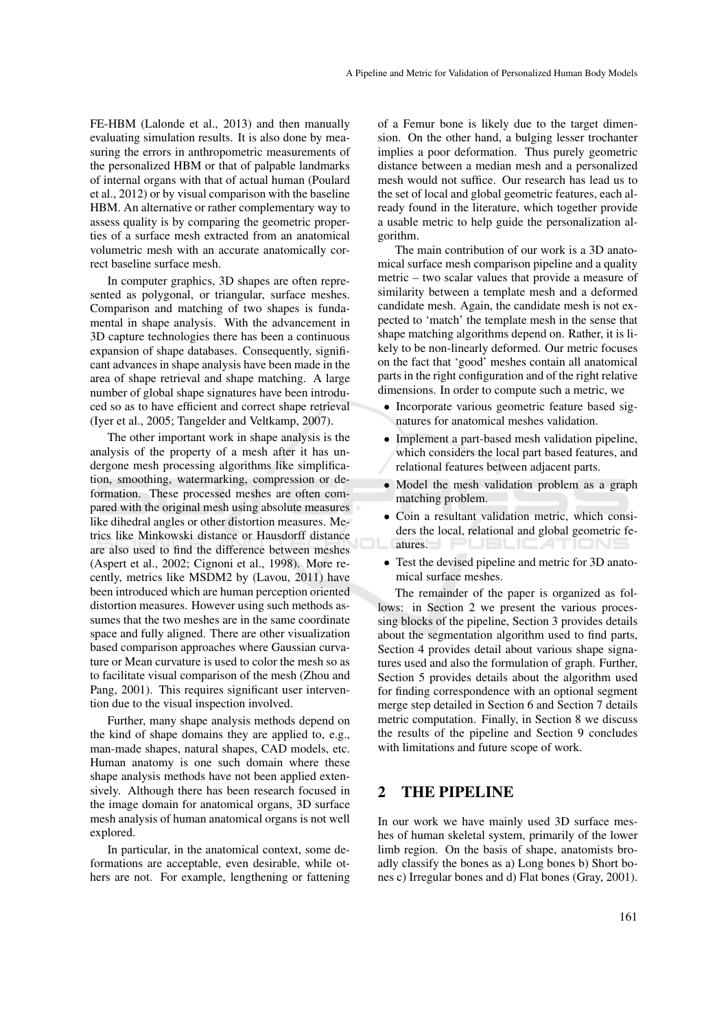FE-HBM (Lalonde et al., 2013) and then manually evaluating simulation results. It is also done by measuring the errors in anthropometric measurements of the personalized HBM or that of palpable landmarks of internal organs with that of actual human (Poulard et al., 2012) or by visual comparison with the baseline HBM. An alternative or rather complementary way to assess quality is by comparing the geometric properties of a surface mesh extracted from an anatomical volumetric mesh with an accurate anatomically correct baseline surface mesh.

In computer graphics, 3D shapes are often represented as polygonal, or triangular, surface meshes. Comparison and matching of two shapes is fundamental in shape analysis. With the advancement in 3D capture technologies there has been a continuous expansion of shape databases. Consequently, significant advances in shape analysis have been made in the area of shape retrieval and shape matching. A large number of global shape signatures have been introduced so as to have efficient and correct shape retrieval (Iyer et al., 2005; Tangelder and Veltkamp, 2007).

The other important work in shape analysis is the analysis of the property of a mesh after it has undergone mesh processing algorithms like simplification, smoothing, watermarking, compression or deformation. These processed meshes are often compared with the original mesh using absolute measures like dihedral angles or other distortion measures. Metrics like Minkowski distance or Hausdorff distance are also used to find the difference between meshes (Aspert et al., 2002; Cignoni et al., 1998). More recently, metrics like MSDM2 by (Lavou, 2011) have been introduced which are human perception oriented distortion measures. However using such methods assumes that the two meshes are in the same coordinate space and fully aligned. There are other visualization based comparison approaches where Gaussian curvature or Mean curvature is used to color the mesh so as to facilitate visual comparison of the mesh (Zhou and Pang, 2001). This requires significant user intervention due to the visual inspection involved.

Further, many shape analysis methods depend on the kind of shape domains they are applied to, e.g., man-made shapes, natural shapes, CAD models, etc. Human anatomy is one such domain where these shape analysis methods have not been applied extensively. Although there has been research focused in the image domain for anatomical organs, 3D surface mesh analysis of human anatomical organs is not well explored.

In particular, in the anatomical context, some deformations are acceptable, even desirable, while others are not. For example, lengthening or fattening of a Femur bone is likely due to the target dimension. On the other hand, a bulging lesser trochanter implies a poor deformation. Thus purely geometric distance between a median mesh and a personalized mesh would not suffice. Our research has lead us to the set of local and global geometric features, each already found in the literature, which together provide a usable metric to help guide the personalization algorithm.

The main contribution of our work is a 3D anatomical surface mesh comparison pipeline and a quality metric – two scalar values that provide a measure of similarity between a template mesh and a deformed candidate mesh. Again, the candidate mesh is not expected to 'match' the template mesh in the sense that shape matching algorithms depend on. Rather, it is likely to be non-linearly deformed. Our metric focuses on the fact that 'good' meshes contain all anatomical parts in the right configuration and of the right relative dimensions. In order to compute such a metric, we

- Incorporate various geometric feature based signatures for anatomical meshes validation.
- Implement a part-based mesh validation pipeline, which considers the local part based features, and relational features between adjacent parts.
- Model the mesh validation problem as a graph matching problem.
- Coin a resultant validation metric, which considers the local, relational and global geometric features. J PUBLICATIONS
- Test the devised pipeline and metric for 3D anatomical surface meshes.

The remainder of the paper is organized as follows: in Section 2 we present the various processing blocks of the pipeline, Section 3 provides details about the segmentation algorithm used to find parts, Section 4 provides detail about various shape signatures used and also the formulation of graph. Further, Section 5 provides details about the algorithm used for finding correspondence with an optional segment merge step detailed in Section 6 and Section 7 details metric computation. Finally, in Section 8 we discuss the results of the pipeline and Section 9 concludes with limitations and future scope of work.

## 2 THE PIPELINE

In our work we have mainly used 3D surface meshes of human skeletal system, primarily of the lower limb region. On the basis of shape, anatomists broadly classify the bones as a) Long bones b) Short bones c) Irregular bones and d) Flat bones (Gray, 2001).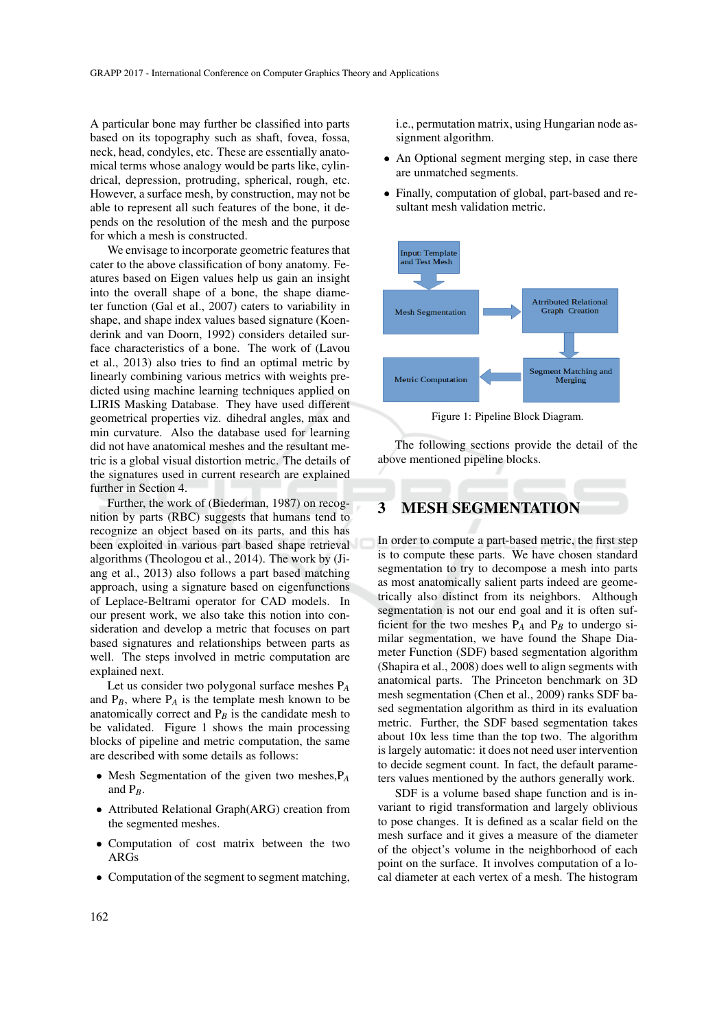A particular bone may further be classified into parts based on its topography such as shaft, fovea, fossa, neck, head, condyles, etc. These are essentially anatomical terms whose analogy would be parts like, cylindrical, depression, protruding, spherical, rough, etc. However, a surface mesh, by construction, may not be able to represent all such features of the bone, it depends on the resolution of the mesh and the purpose for which a mesh is constructed.

We envisage to incorporate geometric features that cater to the above classification of bony anatomy. Features based on Eigen values help us gain an insight into the overall shape of a bone, the shape diameter function (Gal et al., 2007) caters to variability in shape, and shape index values based signature (Koenderink and van Doorn, 1992) considers detailed surface characteristics of a bone. The work of (Lavou et al., 2013) also tries to find an optimal metric by linearly combining various metrics with weights predicted using machine learning techniques applied on LIRIS Masking Database. They have used different geometrical properties viz. dihedral angles, max and min curvature. Also the database used for learning did not have anatomical meshes and the resultant metric is a global visual distortion metric. The details of the signatures used in current research are explained further in Section 4.

Further, the work of (Biederman, 1987) on recognition by parts (RBC) suggests that humans tend to recognize an object based on its parts, and this has been exploited in various part based shape retrieval algorithms (Theologou et al., 2014). The work by (Jiang et al., 2013) also follows a part based matching approach, using a signature based on eigenfunctions of Leplace-Beltrami operator for CAD models. In our present work, we also take this notion into consideration and develop a metric that focuses on part based signatures and relationships between parts as well. The steps involved in metric computation are explained next.

Let us consider two polygonal surface meshes P*<sup>A</sup>* and  $P_B$ , where  $P_A$  is the template mesh known to be anatomically correct and  $P_B$  is the candidate mesh to be validated. Figure 1 shows the main processing blocks of pipeline and metric computation, the same are described with some details as follows:

- Mesh Segmentation of the given two meshes,P*<sup>A</sup>* and P*B*.
- Attributed Relational Graph(ARG) creation from the segmented meshes.
- Computation of cost matrix between the two ARGs
- Computation of the segment to segment matching,

i.e., permutation matrix, using Hungarian node assignment algorithm.

- An Optional segment merging step, in case there are unmatched segments.
- Finally, computation of global, part-based and resultant mesh validation metric.



Figure 1: Pipeline Block Diagram.

The following sections provide the detail of the above mentioned pipeline blocks.

## 3 MESH SEGMENTATION

In order to compute a part-based metric, the first step is to compute these parts. We have chosen standard segmentation to try to decompose a mesh into parts as most anatomically salient parts indeed are geometrically also distinct from its neighbors. Although segmentation is not our end goal and it is often sufficient for the two meshes  $P_A$  and  $P_B$  to undergo similar segmentation, we have found the Shape Diameter Function (SDF) based segmentation algorithm (Shapira et al., 2008) does well to align segments with anatomical parts. The Princeton benchmark on 3D mesh segmentation (Chen et al., 2009) ranks SDF based segmentation algorithm as third in its evaluation metric. Further, the SDF based segmentation takes about 10x less time than the top two. The algorithm is largely automatic: it does not need user intervention to decide segment count. In fact, the default parameters values mentioned by the authors generally work.

SDF is a volume based shape function and is invariant to rigid transformation and largely oblivious to pose changes. It is defined as a scalar field on the mesh surface and it gives a measure of the diameter of the object's volume in the neighborhood of each point on the surface. It involves computation of a local diameter at each vertex of a mesh. The histogram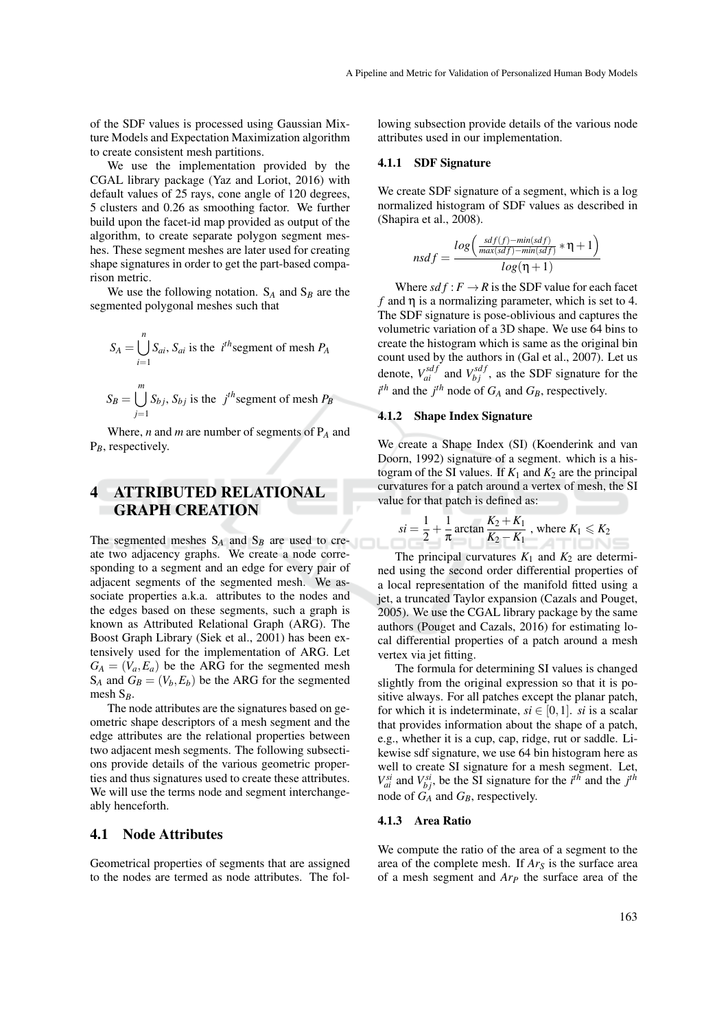of the SDF values is processed using Gaussian Mixture Models and Expectation Maximization algorithm to create consistent mesh partitions.

We use the implementation provided by the CGAL library package (Yaz and Loriot, 2016) with default values of 25 rays, cone angle of 120 degrees, 5 clusters and 0.26 as smoothing factor. We further build upon the facet-id map provided as output of the algorithm, to create separate polygon segment meshes. These segment meshes are later used for creating shape signatures in order to get the part-based comparison metric.

We use the following notation.  $S_A$  and  $S_B$  are the segmented polygonal meshes such that

$$
S_A = \bigcup_{i=1}^{n} S_{ai}, S_{ai} \text{ is the } i^{th} \text{segment of mesh } P_A
$$
  
*m*

$$
S_B = \bigcup_{j=1}^m S_{bj}, S_{bj}
$$
 is the  $j^{th}$  segment of mesh  $P_B$ 

Where, *n* and *m* are number of segments of P*<sup>A</sup>* and P*B*, respectively.

# 4 ATTRIBUTED RELATIONAL GRAPH CREATION

The segmented meshes  $S_A$  and  $S_B$  are used to create two adjacency graphs. We create a node corresponding to a segment and an edge for every pair of adjacent segments of the segmented mesh. We associate properties a.k.a. attributes to the nodes and the edges based on these segments, such a graph is known as Attributed Relational Graph (ARG). The Boost Graph Library (Siek et al., 2001) has been extensively used for the implementation of ARG. Let  $G_A = (V_a, E_a)$  be the ARG for the segmented mesh  $S_A$  and  $G_B = (V_b, E_b)$  be the ARG for the segmented mesh S*B*.

The node attributes are the signatures based on geometric shape descriptors of a mesh segment and the edge attributes are the relational properties between two adjacent mesh segments. The following subsections provide details of the various geometric properties and thus signatures used to create these attributes. We will use the terms node and segment interchangeably henceforth.

## 4.1 Node Attributes

Geometrical properties of segments that are assigned to the nodes are termed as node attributes. The following subsection provide details of the various node attributes used in our implementation.

#### 4.1.1 SDF Signature

*n* 

We create SDF signature of a segment, which is a log normalized histogram of SDF values as described in (Shapira et al., 2008).

$$
sdf = \frac{log\left(\frac{sdf(f) - min(sdf)}{max(sdf) - min(sdf)} * \eta + 1\right)}{log(\eta + 1)}
$$

Where  $sdf : F \to R$  is the SDF value for each facet  $f$  and  $\eta$  is a normalizing parameter, which is set to 4. The SDF signature is pose-oblivious and captures the volumetric variation of a 3D shape. We use 64 bins to create the histogram which is same as the original bin count used by the authors in (Gal et al., 2007). Let us denote,  $V_{ai}^{sdf}$  and  $V_{bj}^{sdf}$ , as the SDF signature for the  $i^{th}$  and the  $j^{th}$  node of  $G_A$  and  $G_B$ , respectively.

#### 4.1.2 Shape Index Signature

We create a Shape Index (SI) (Koenderink and van Doorn, 1992) signature of a segment. which is a histogram of the SI values. If  $K_1$  and  $K_2$  are the principal curvatures for a patch around a vertex of mesh, the SI value for that patch is defined as:

$$
si = \frac{1}{2} + \frac{1}{\pi} \arctan \frac{K_2 + K_1}{K_2 - K_1}
$$
, where  $K_1 \le K_2$ 

The principal curvatures  $K_1$  and  $K_2$  are determined using the second order differential properties of a local representation of the manifold fitted using a jet, a truncated Taylor expansion (Cazals and Pouget, 2005). We use the CGAL library package by the same authors (Pouget and Cazals, 2016) for estimating local differential properties of a patch around a mesh vertex via jet fitting.

The formula for determining SI values is changed slightly from the original expression so that it is positive always. For all patches except the planar patch, for which it is indeterminate,  $si \in [0,1]$ . *si* is a scalar that provides information about the shape of a patch, e.g., whether it is a cup, cap, ridge, rut or saddle. Likewise sdf signature, we use 64 bin histogram here as well to create SI signature for a mesh segment. Let,  $V_{ai}^{si}$  and  $V_{bj}^{si}$ , be the SI signature for the *i*<sup>th</sup> and the *j*<sup>th</sup> node of  $G_A$  and  $G_B$ , respectively.

#### 4.1.3 Area Ratio

We compute the ratio of the area of a segment to the area of the complete mesh. If *Ar<sup>S</sup>* is the surface area of a mesh segment and *Ar<sup>P</sup>* the surface area of the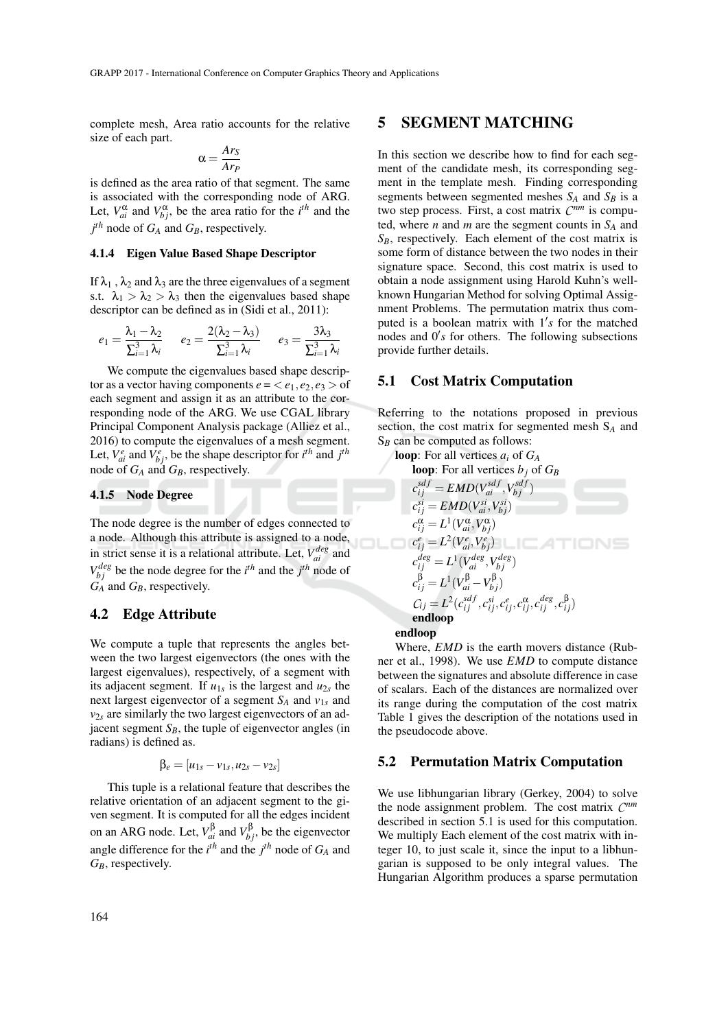complete mesh, Area ratio accounts for the relative size of each part.

$$
\alpha = \frac{Ar_S}{Ar_P}
$$

is defined as the area ratio of that segment. The same is associated with the corresponding node of ARG. Let,  $V_{ai}^{\alpha}$  and  $V_{bj}^{\alpha}$ , be the area ratio for the *i*<sup>th</sup> and the *j th* node of *G<sup>A</sup>* and *GB*, respectively.

#### 4.1.4 Eigen Value Based Shape Descriptor

If  $\lambda_1$ ,  $\lambda_2$  and  $\lambda_3$  are the three eigenvalues of a segment s.t.  $\lambda_1 > \lambda_2 > \lambda_3$  then the eigenvalues based shape descriptor can be defined as in (Sidi et al., 2011):

$$
e_1 = \frac{\lambda_1 - \lambda_2}{\sum_{i=1}^3 \lambda_i} \qquad e_2 = \frac{2(\lambda_2 - \lambda_3)}{\sum_{i=1}^3 \lambda_i} \qquad e_3 = \frac{3\lambda_3}{\sum_{i=1}^3 \lambda_i}
$$

We compute the eigenvalues based shape descriptor as a vector having components  $e = \langle e_1, e_2, e_3 \rangle$  of each segment and assign it as an attribute to the corresponding node of the ARG. We use CGAL library Principal Component Analysis package (Alliez et al., 2016) to compute the eigenvalues of a mesh segment. Let,  $V_{ai}^e$  and  $V_{bj}^e$ , be the shape descriptor for  $i^{th}$  and  $j^{th}$ node of *G<sup>A</sup>* and *GB*, respectively.

### 4.1.5 Node Degree

The node degree is the number of edges connected to a node. Although this attribute is assigned to a node, **JOLC** in strict sense it is a relational attribute. Let,  $V_{ai}^{deg}$  and  $V_{bj}^{deg}$  be the node degree for the *i*<sup>th</sup> and the *j*<sup>th</sup> node of *G<sup>A</sup>* and *GB*, respectively.

#### 4.2 Edge Attribute

We compute a tuple that represents the angles between the two largest eigenvectors (the ones with the largest eigenvalues), respectively, of a segment with its adjacent segment. If  $u_{1s}$  is the largest and  $u_{2s}$  the next largest eigenvector of a segment *S<sup>A</sup>* and *v*1*<sup>s</sup>* and *v*2*<sup>s</sup>* are similarly the two largest eigenvectors of an adjacent segment  $S_B$ , the tuple of eigenvector angles (in radians) is defined as.

$$
\beta_e = [u_{1s} - v_{1s}, u_{2s} - v_{2s}]
$$

This tuple is a relational feature that describes the relative orientation of an adjacent segment to the given segment. It is computed for all the edges incident on an ARG node. Let,  $V_{ai}^{\beta}$  and  $V_{bj}^{\beta}$ , be the eigenvector angle difference for the  $i^{th}$  and the  $j^{th}$  node of  $G_A$  and *GB*, respectively.

## 5 SEGMENT MATCHING

In this section we describe how to find for each segment of the candidate mesh, its corresponding segment in the template mesh. Finding corresponding segments between segmented meshes  $S_A$  and  $S_B$  is a two step process. First, a cost matrix *C nm* is computed, where *n* and *m* are the segment counts in  $S_A$  and *SB*, respectively. Each element of the cost matrix is some form of distance between the two nodes in their signature space. Second, this cost matrix is used to obtain a node assignment using Harold Kuhn's wellknown Hungarian Method for solving Optimal Assignment Problems. The permutation matrix thus computed is a boolean matrix with  $1's$  for the matched nodes and  $0's$  for others. The following subsections provide further details.

#### 5.1 Cost Matrix Computation

Referring to the notations proposed in previous section, the cost matrix for segmented mesh S*<sup>A</sup>* and S*<sup>B</sup>* can be computed as follows:

loop: For all vertices *a<sup>i</sup>* of *G<sup>A</sup>*

loop: For all vertices 
$$
b_j
$$
 of  $G_B$   
\n
$$
c_{ij}^{sdf} = EMD(V_{ai}^{sdf}, V_{bj}^{sdf})
$$
\n
$$
c_{ij}^{si} = EMD(V_{ai}^{si}, V_{bj}^{si})
$$
\n
$$
c_{ij}^{\alpha} = L^1(V_{ai}^{\alpha}, V_{bj}^{\alpha})
$$
\n
$$
c_{ij}^e = L^2(V_{ai}^e, V_{bj}^e)
$$
\n
$$
c_{ij}^{deg} = L^1(V_{ai}^{deg}, V_{bj}^{deg})
$$
\n
$$
c_{ij}^{\beta} = L^1(V_{bi}^{\beta} - V_{bj}^{\beta})
$$
\n
$$
C_{ij} = L^2(c_{ij}^{sdf}, c_{ij}^{si}, c_{ij}^e, c_{ij}^{\alpha}, c_{ij}^{\beta}, c_{ij}^{\beta})
$$
\nendloop  
\nendloop  
\nendloop

Where, *EMD* is the earth movers distance (Rubner et al., 1998). We use *EMD* to compute distance between the signatures and absolute difference in case of scalars. Each of the distances are normalized over its range during the computation of the cost matrix Table 1 gives the description of the notations used in the pseudocode above.

### 5.2 Permutation Matrix Computation

We use libhungarian library (Gerkey, 2004) to solve the node assignment problem. The cost matrix *C nm* described in section 5.1 is used for this computation. We multiply Each element of the cost matrix with integer 10, to just scale it, since the input to a libhungarian is supposed to be only integral values. The Hungarian Algorithm produces a sparse permutation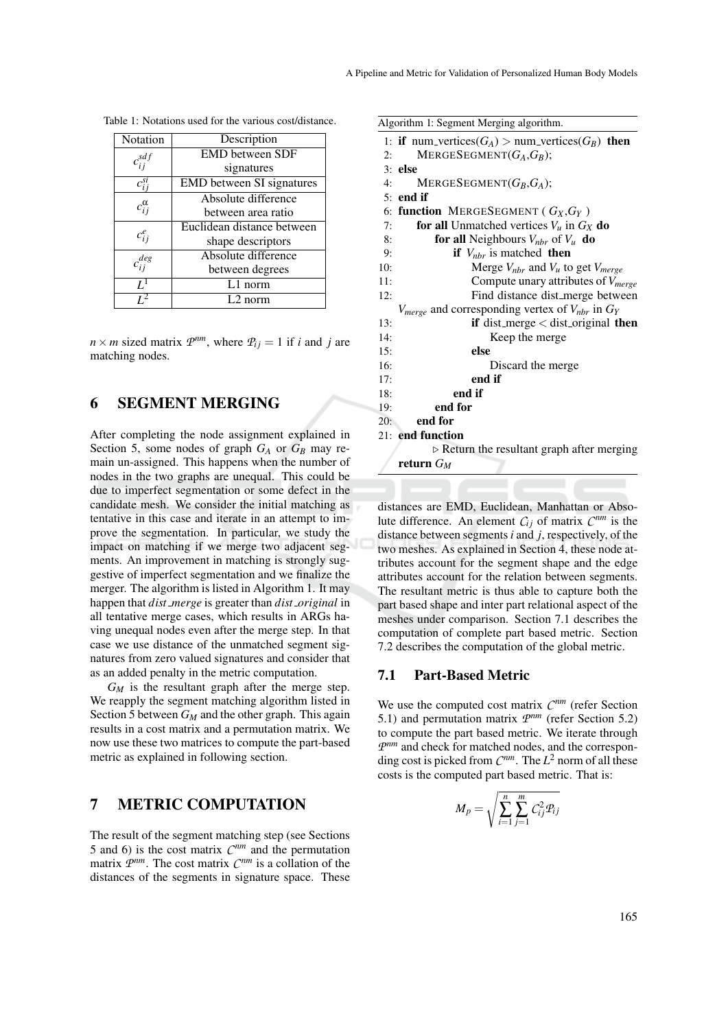| Notation                  | Description                      |  |  |
|---------------------------|----------------------------------|--|--|
| $c_{ij}^{\overline{sdf}}$ | <b>EMD</b> between SDF           |  |  |
|                           | signatures                       |  |  |
| $c_{i}^{si}$              | <b>EMD</b> between SI signatures |  |  |
|                           | Absolute difference              |  |  |
| $c_{ii}^{\alpha}$         | between area ratio               |  |  |
|                           | Euclidean distance between       |  |  |
| $c_{ij}^e$                | shape descriptors                |  |  |
| $c_{ij}^{\deg}$           | Absolute difference              |  |  |
|                           | between degrees                  |  |  |
| $I^1$                     | $L1$ norm                        |  |  |
| 12                        | $L2$ norm                        |  |  |

Table 1: Notations used for the various cost/distance.

 $n \times m$  sized matrix  $\mathcal{P}^{nm}$ , where  $\mathcal{P}_{ij} = 1$  if *i* and *j* are matching nodes.

## 6 SEGMENT MERGING

After completing the node assignment explained in Section 5, some nodes of graph  $G_A$  or  $G_B$  may remain un-assigned. This happens when the number of nodes in the two graphs are unequal. This could be due to imperfect segmentation or some defect in the candidate mesh. We consider the initial matching as tentative in this case and iterate in an attempt to improve the segmentation. In particular, we study the impact on matching if we merge two adjacent segments. An improvement in matching is strongly suggestive of imperfect segmentation and we finalize the merger. The algorithm is listed in Algorithm 1. It may happen that *dist merge* is greater than *dist original* in all tentative merge cases, which results in ARGs having unequal nodes even after the merge step. In that case we use distance of the unmatched segment signatures from zero valued signatures and consider that as an added penalty in the metric computation.

 $G_M$  is the resultant graph after the merge step. We reapply the segment matching algorithm listed in Section 5 between *G<sup>M</sup>* and the other graph. This again results in a cost matrix and a permutation matrix. We now use these two matrices to compute the part-based metric as explained in following section.

# 7 METRIC COMPUTATION

The result of the segment matching step (see Sections 5 and 6) is the cost matrix  $C^{nm}$  and the permutation matrix  $P^{nm}$ . The cost matrix  $C^{nm}$  is a collation of the distances of the segments in signature space. These

|                                                           | Algorithm 1: Segment Merging algorithm.                    |  |  |  |  |
|-----------------------------------------------------------|------------------------------------------------------------|--|--|--|--|
|                                                           | 1: if num_vertices( $G_A$ ) > num_vertices( $G_B$ ) then   |  |  |  |  |
| 2:                                                        | MERGESEGMENT $(G_A,G_B);$                                  |  |  |  |  |
|                                                           | $3:$ else                                                  |  |  |  |  |
| 4:                                                        | MERGESEGMENT $(G_B, G_A);$                                 |  |  |  |  |
|                                                           | $5:$ end if                                                |  |  |  |  |
|                                                           | 6: function MERGESEGMENT ( $G_X, G_Y$ )                    |  |  |  |  |
| 7:                                                        | for all Unmatched vertices $V_u$ in $G_X$ do               |  |  |  |  |
| 8:                                                        | <b>for all</b> Neighbours $V_{nbr}$ of $V_u$ <b>do</b>     |  |  |  |  |
| 9:                                                        | if $V_{nbr}$ is matched then                               |  |  |  |  |
| 10:                                                       | Merge $V_{nbr}$ and $V_u$ to get $V_{merge}$               |  |  |  |  |
| 11:                                                       | Compute unary attributes of $V_{merge}$                    |  |  |  |  |
| 12:                                                       | Find distance dist_merge between                           |  |  |  |  |
|                                                           | $V_{merge}$ and corresponding vertex of $V_{nbr}$ in $G_Y$ |  |  |  |  |
| 13:                                                       | if dist_merge $\lt$ dist_original then                     |  |  |  |  |
| 14:                                                       | Keep the merge                                             |  |  |  |  |
| 15:                                                       | else                                                       |  |  |  |  |
| 16:                                                       | Discard the merge                                          |  |  |  |  |
| 17:                                                       | end if                                                     |  |  |  |  |
| 18:                                                       | end if                                                     |  |  |  |  |
| 19:                                                       | end for                                                    |  |  |  |  |
| 20:                                                       | end for                                                    |  |  |  |  |
|                                                           | 21: end function                                           |  |  |  |  |
| $\triangleright$ Return the resultant graph after merging |                                                            |  |  |  |  |
|                                                           | return $G_M$                                               |  |  |  |  |
|                                                           |                                                            |  |  |  |  |

distances are EMD, Euclidean, Manhattan or Absolute difference. An element  $C_{ij}$  of matrix  $C^{nm}$  is the distance between segments*i* and *j*, respectively, of the two meshes. As explained in Section 4, these node attributes account for the segment shape and the edge attributes account for the relation between segments. The resultant metric is thus able to capture both the part based shape and inter part relational aspect of the meshes under comparison. Section 7.1 describes the computation of complete part based metric. Section 7.2 describes the computation of the global metric.

### 7.1 Part-Based Metric

We use the computed cost matrix  $C^{nm}$  (refer Section 5.1) and permutation matrix  $P^{nm}$  (refer Section 5.2) to compute the part based metric. We iterate through  $P^{nm}$  and check for matched nodes, and the corresponding cost is picked from  $C^{nm}$ . The  $L^2$  norm of all these costs is the computed part based metric. That is:

$$
M_p = \sqrt{\sum_{i=1}^n \sum_{j=1}^m C_{ij}^2 P_{ij}}
$$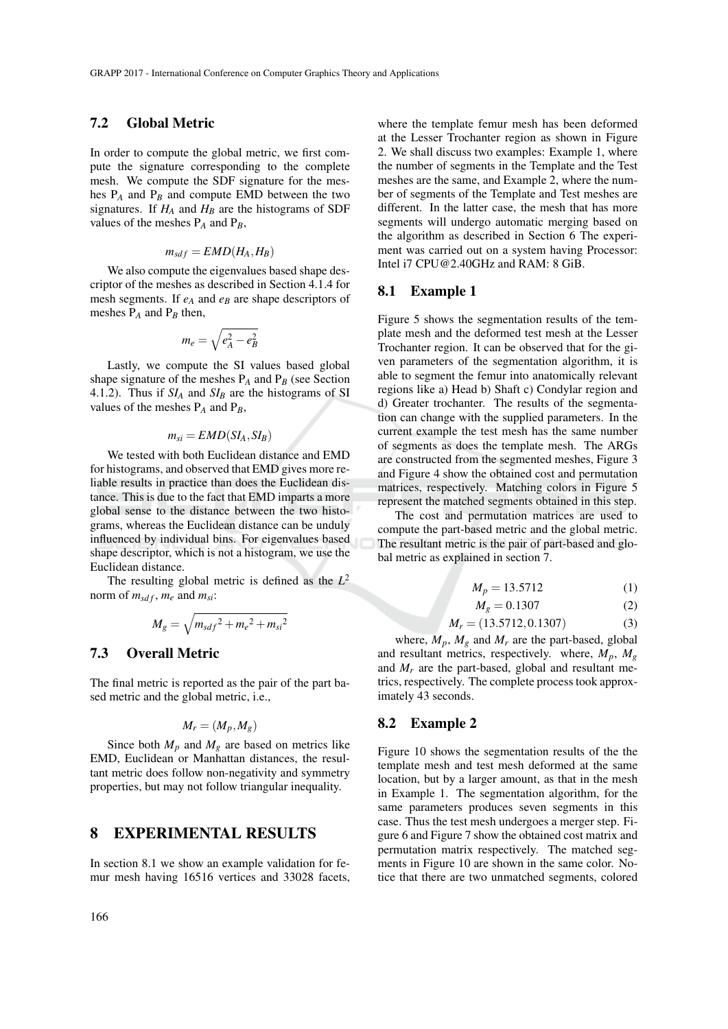### 7.2 Global Metric

In order to compute the global metric, we first compute the signature corresponding to the complete mesh. We compute the SDF signature for the meshes  $P_A$  and  $P_B$  and compute EMD between the two signatures. If  $H_A$  and  $H_B$  are the histograms of SDF values of the meshes  $P_A$  and  $P_B$ ,

$$
m_{sdf} = EMD(H_A, H_B)
$$

We also compute the eigenvalues based shape descriptor of the meshes as described in Section 4.1.4 for mesh segments. If *e<sup>A</sup>* and *e<sup>B</sup>* are shape descriptors of meshes P*<sup>A</sup>* and P*<sup>B</sup>* then,

$$
m_e = \sqrt{e_A^2 - e_B^2}
$$

Lastly, we compute the SI values based global shape signature of the meshes  $P_A$  and  $P_B$  (see Section 4.1.2). Thus if *SI<sup>A</sup>* and *SI<sup>B</sup>* are the histograms of SI values of the meshes P*<sup>A</sup>* and P*B*,

$$
m_{si} = EMD(SI_A, SI_B)
$$

We tested with both Euclidean distance and EMD for histograms, and observed that EMD gives more reliable results in practice than does the Euclidean distance. This is due to the fact that EMD imparts a more global sense to the distance between the two histograms, whereas the Euclidean distance can be unduly influenced by individual bins. For eigenvalues based shape descriptor, which is not a histogram, we use the Euclidean distance.

The resulting global metric is defined as the *L* 2 norm of  $m_{sdf}$ ,  $m_e$  and  $m_{si}$ :

$$
M_g = \sqrt{m_{sdf}^2 + m_e^2 + m_{si}^2}
$$

## 7.3 Overall Metric

The final metric is reported as the pair of the part based metric and the global metric, i.e.,

$$
M_r = (M_p, M_g)
$$

Since both  $M_p$  and  $M_g$  are based on metrics like EMD, Euclidean or Manhattan distances, the resultant metric does follow non-negativity and symmetry properties, but may not follow triangular inequality.

## 8 EXPERIMENTAL RESULTS

In section 8.1 we show an example validation for femur mesh having 16516 vertices and 33028 facets,

where the template femur mesh has been deformed at the Lesser Trochanter region as shown in Figure 2. We shall discuss two examples: Example 1, where the number of segments in the Template and the Test meshes are the same, and Example 2, where the number of segments of the Template and Test meshes are different. In the latter case, the mesh that has more segments will undergo automatic merging based on the algorithm as described in Section 6 The experiment was carried out on a system having Processor: Intel i7 CPU@2.40GHz and RAM: 8 GiB.

### 8.1 Example 1

Figure 5 shows the segmentation results of the template mesh and the deformed test mesh at the Lesser Trochanter region. It can be observed that for the given parameters of the segmentation algorithm, it is able to segment the femur into anatomically relevant regions like a) Head b) Shaft c) Condylar region and d) Greater trochanter. The results of the segmentation can change with the supplied parameters. In the current example the test mesh has the same number of segments as does the template mesh. The ARGs are constructed from the segmented meshes, Figure 3 and Figure 4 show the obtained cost and permutation matrices, respectively. Matching colors in Figure 5 represent the matched segments obtained in this step.

The cost and permutation matrices are used to compute the part-based metric and the global metric. The resultant metric is the pair of part-based and global metric as explained in section 7.

$$
M_p = 13.5712 \tag{1}
$$

$$
M_g = 0.1307\tag{2}
$$

$$
M_r = (13.5712, 0.1307) \tag{3}
$$

where,  $M_p$ ,  $M_g$  and  $M_r$  are the part-based, global and resultant metrics, respectively. where,  $M_p$ ,  $M_q$ and  $M_r$  are the part-based, global and resultant metrics, respectively. The complete process took approximately 43 seconds.

### 8.2 Example 2

Figure 10 shows the segmentation results of the the template mesh and test mesh deformed at the same location, but by a larger amount, as that in the mesh in Example 1. The segmentation algorithm, for the same parameters produces seven segments in this case. Thus the test mesh undergoes a merger step. Figure 6 and Figure 7 show the obtained cost matrix and permutation matrix respectively. The matched segments in Figure 10 are shown in the same color. Notice that there are two unmatched segments, colored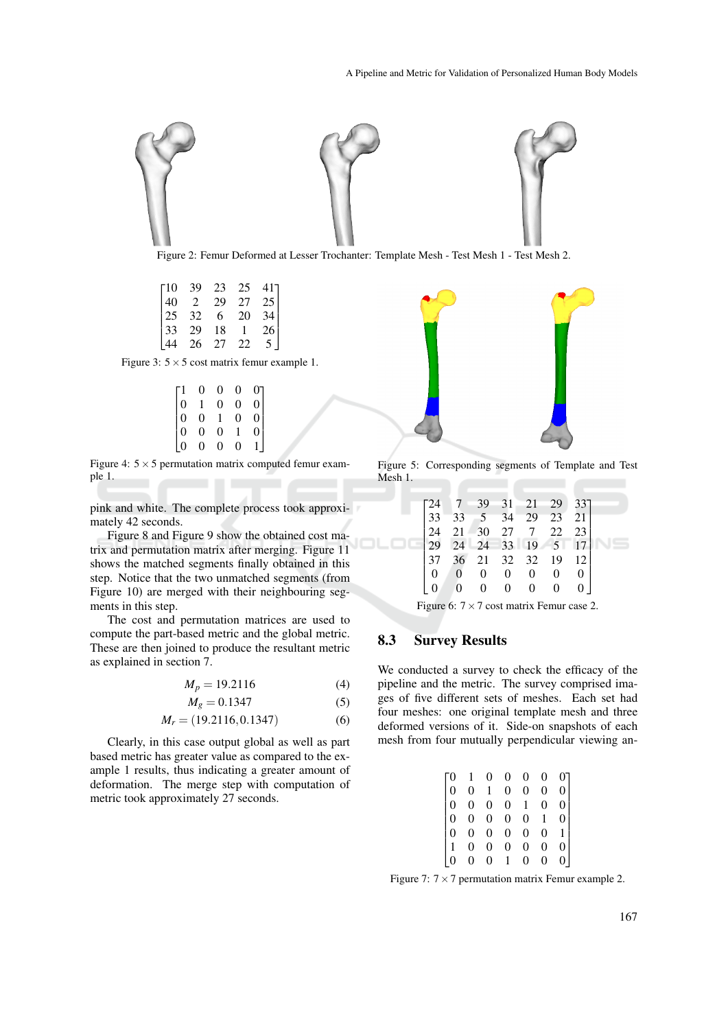

Figure 2: Femur Deformed at Lesser Trochanter: Template Mesh - Test Mesh 1 - Test Mesh 2.

 $-10$  $\overline{1}$  $\overline{1}$  $\overline{1}$  $\overline{1}$ 10 39 23 25 41 40 2 29 27<br>25 32 6 20  $32 \t 6$ 33 29 18 1 26 44 26 27 22 5  $41$  $\overline{1}$ 34  $\overline{1}$  $\mathbb{I}$ 

Figure 3:  $5 \times 5$  cost matrix femur example 1.

|                | 0              | 0 | 0              | 01              |
|----------------|----------------|---|----------------|-----------------|
| $\overline{0}$ |                | 0 | $\overline{0}$ | 0               |
| $\vert$ 0      | $\overline{0}$ |   | $\overline{0}$ | $\vert 0 \vert$ |
| $\overline{0}$ | $\overline{0}$ | 0 |                | $\check{0}$     |
| $\overline{0}$ | 0              | 0 | $\theta$       |                 |

Figure 4:  $5 \times 5$  permutation matrix computed femur example 1. 

pink and white. The complete process took approximately 42 seconds.

Figure 8 and Figure 9 show the obtained cost matrix and permutation matrix after merging. Figure 11 shows the matched segments finally obtained in this step. Notice that the two unmatched segments (from Figure 10) are merged with their neighbouring segments in this step.

The cost and permutation matrices are used to compute the part-based metric and the global metric. These are then joined to produce the resultant metric as explained in section 7.

$$
M_p = 19.2116 \tag{4}
$$

$$
M_g = 0.1347\tag{5}
$$

$$
M_r = (19.2116, 0.1347) \tag{6}
$$

Clearly, in this case output global as well as part based metric has greater value as compared to the example 1 results, thus indicating a greater amount of deformation. The merge step with computation of metric took approximately 27 seconds.



Figure 5: Corresponding segments of Template and Test Mesh 1.

|  |                |                |                | $\begin{bmatrix} 24 & 7 & 39 & 31 & 21 & 29 & 33 \\ 33 & 33 & 5 & 34 & 29 & 23 & 21 \end{bmatrix}$ |   |          |  |
|--|----------------|----------------|----------------|----------------------------------------------------------------------------------------------------|---|----------|--|
|  |                |                |                | 24 21 30 27 7 22 23<br>29 24 24 33 19 5 17<br>37 36 21 32 32 19 12                                 |   |          |  |
|  |                |                |                |                                                                                                    |   |          |  |
|  |                |                |                |                                                                                                    |   |          |  |
|  | $\overline{0}$ |                | $0 \quad 0$    | $\overline{0}$                                                                                     | 0 | $\Omega$ |  |
|  |                | $\overline{0}$ | $\overline{0}$ | $\overline{0}$                                                                                     | 0 |          |  |
|  |                |                |                |                                                                                                    |   |          |  |

Figure 6:  $7 \times 7$  cost matrix Femur case 2.

## 8.3 Survey Results

We conducted a survey to check the efficacy of the pipeline and the metric. The survey comprised images of five different sets of meshes. Each set had four meshes: one original template mesh and three deformed versions of it. Side-on snapshots of each mesh from four mutually perpendicular viewing an-

|                |              |  |  | $\begin{array}{cccccc} 1 & 0 & 0 & 0 & 0 & 0 \\ 0 & 1 & 0 & 0 & 0 & 0 \\ 0 & 0 & 0 & 1 & 0 & 0 \\ 0 & 0 & 0 & 0 & 1 & 0 \\ 0 & 0 & 0 & 0 & 0 & 1 \\ 0 & 0 & 0 & 0 & 0 & 0 \\ 0 & 0 & 1 & 0 & 0 & 0 \end{array}$ |
|----------------|--------------|--|--|-----------------------------------------------------------------------------------------------------------------------------------------------------------------------------------------------------------------|
|                |              |  |  |                                                                                                                                                                                                                 |
| $ 0\rangle$    |              |  |  |                                                                                                                                                                                                                 |
| $\overline{0}$ |              |  |  |                                                                                                                                                                                                                 |
|                | $\mathbf{0}$ |  |  |                                                                                                                                                                                                                 |
|                |              |  |  |                                                                                                                                                                                                                 |
|                |              |  |  |                                                                                                                                                                                                                 |

Figure 7:  $7 \times 7$  permutation matrix Femur example 2.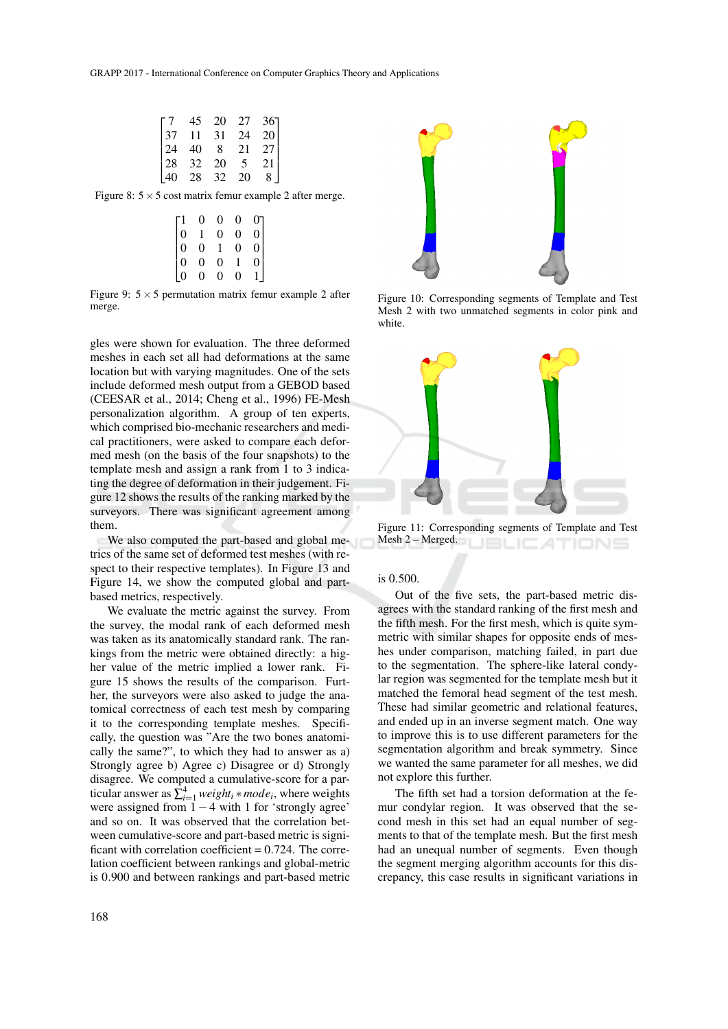| $\cdot$ 7 | 45 | 20 | 27                      | $36$ ] |  |
|-----------|----|----|-------------------------|--------|--|
| 37        | 11 | 31 | 24                      | 20     |  |
| 24        | 40 | 8  | 21                      | 27     |  |
| 28        | 32 | 20 | $\overline{\mathbf{5}}$ | 21     |  |
| 40        | 28 | 32 | 20                      | 8      |  |

Figure 8:  $5 \times 5$  cost matrix femur example 2 after merge.

|                                             | $\theta$       | 0              | 0              | 07                  |
|---------------------------------------------|----------------|----------------|----------------|---------------------|
| $\vert$ 0                                   |                | $\overline{0}$ | $\overline{0}$ | $\overline{0}$      |
| $\begin{bmatrix} 0 \\ 0 \\ 0 \end{bmatrix}$ | $\overline{0}$ |                | $\overline{0}$ | $\check{0}$         |
|                                             | $\overline{0}$ | $\dot{0}$      |                | $\ddot{\mathbf{0}}$ |
| $\overline{0}$                              | $\overline{0}$ | 0              | $\overline{0}$ |                     |

Figure 9:  $5 \times 5$  permutation matrix femur example 2 after merge.

gles were shown for evaluation. The three deformed meshes in each set all had deformations at the same location but with varying magnitudes. One of the sets include deformed mesh output from a GEBOD based (CEESAR et al., 2014; Cheng et al., 1996) FE-Mesh personalization algorithm. A group of ten experts, which comprised bio-mechanic researchers and medical practitioners, were asked to compare each deformed mesh (on the basis of the four snapshots) to the template mesh and assign a rank from 1 to 3 indicating the degree of deformation in their judgement. Figure 12 shows the results of the ranking marked by the surveyors. There was significant agreement among them.

We also computed the part-based and global metrics of the same set of deformed test meshes (with respect to their respective templates). In Figure 13 and Figure 14, we show the computed global and partbased metrics, respectively.

We evaluate the metric against the survey. From the survey, the modal rank of each deformed mesh was taken as its anatomically standard rank. The rankings from the metric were obtained directly: a higher value of the metric implied a lower rank. Figure 15 shows the results of the comparison. Further, the surveyors were also asked to judge the anatomical correctness of each test mesh by comparing it to the corresponding template meshes. Specifically, the question was "Are the two bones anatomically the same?", to which they had to answer as a) Strongly agree b) Agree c) Disagree or d) Strongly disagree. We computed a cumulative-score for a particular answer as  $\sum_{i=1}^{4} weight_i * mode_i$ , where weights were assigned from  $1 - 4$  with 1 for 'strongly agree' and so on. It was observed that the correlation between cumulative-score and part-based metric is significant with correlation coefficient  $= 0.724$ . The correlation coefficient between rankings and global-metric is 0.900 and between rankings and part-based metric



Figure 10: Corresponding segments of Template and Test Mesh 2 with two unmatched segments in color pink and white.



Figure 11: Corresponding segments of Template and Test Mesh 2 – Merged.

#### is 0.500.

Out of the five sets, the part-based metric disagrees with the standard ranking of the first mesh and the fifth mesh. For the first mesh, which is quite symmetric with similar shapes for opposite ends of meshes under comparison, matching failed, in part due to the segmentation. The sphere-like lateral condylar region was segmented for the template mesh but it matched the femoral head segment of the test mesh. These had similar geometric and relational features, and ended up in an inverse segment match. One way to improve this is to use different parameters for the segmentation algorithm and break symmetry. Since we wanted the same parameter for all meshes, we did not explore this further.

The fifth set had a torsion deformation at the femur condylar region. It was observed that the second mesh in this set had an equal number of segments to that of the template mesh. But the first mesh had an unequal number of segments. Even though the segment merging algorithm accounts for this discrepancy, this case results in significant variations in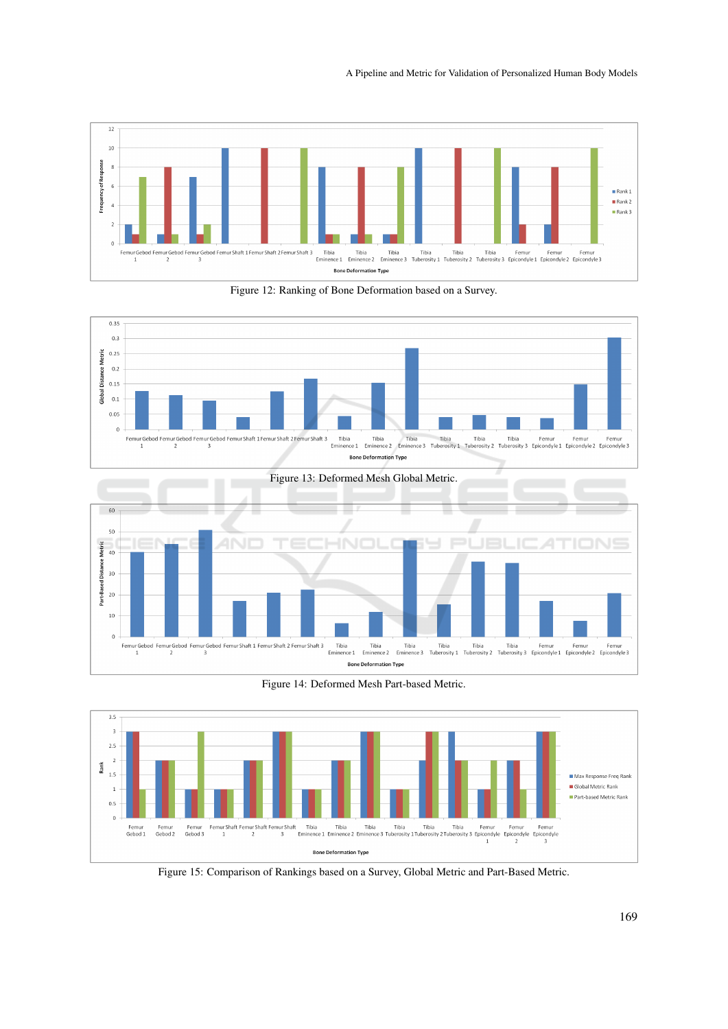A Pipeline and Metric for Validation of Personalized Human Body Models













Figure 15: Comparison of Rankings based on a Survey, Global Metric and Part-Based Metric.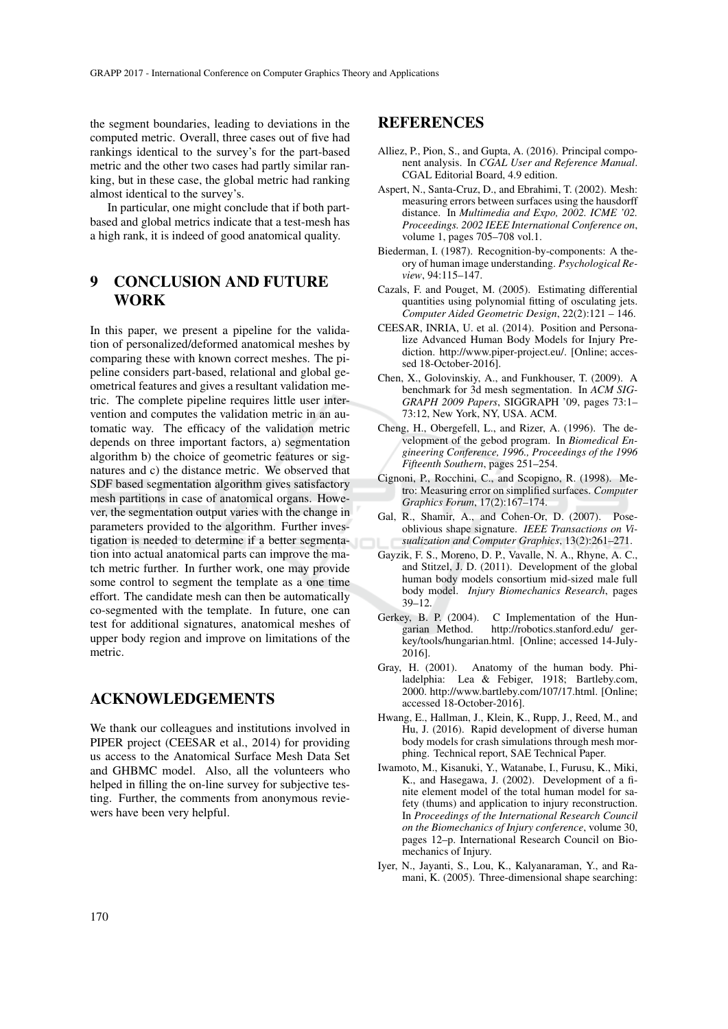the segment boundaries, leading to deviations in the computed metric. Overall, three cases out of five had rankings identical to the survey's for the part-based metric and the other two cases had partly similar ranking, but in these case, the global metric had ranking almost identical to the survey's.

In particular, one might conclude that if both partbased and global metrics indicate that a test-mesh has a high rank, it is indeed of good anatomical quality.

# 9 CONCLUSION AND FUTURE WORK

In this paper, we present a pipeline for the validation of personalized/deformed anatomical meshes by comparing these with known correct meshes. The pipeline considers part-based, relational and global geometrical features and gives a resultant validation metric. The complete pipeline requires little user intervention and computes the validation metric in an automatic way. The efficacy of the validation metric depends on three important factors, a) segmentation algorithm b) the choice of geometric features or signatures and c) the distance metric. We observed that SDF based segmentation algorithm gives satisfactory mesh partitions in case of anatomical organs. However, the segmentation output varies with the change in parameters provided to the algorithm. Further investigation is needed to determine if a better segmentation into actual anatomical parts can improve the match metric further. In further work, one may provide some control to segment the template as a one time effort. The candidate mesh can then be automatically co-segmented with the template. In future, one can test for additional signatures, anatomical meshes of upper body region and improve on limitations of the metric.

## ACKNOWLEDGEMENTS

We thank our colleagues and institutions involved in PIPER project (CEESAR et al., 2014) for providing us access to the Anatomical Surface Mesh Data Set and GHBMC model. Also, all the volunteers who helped in filling the on-line survey for subjective testing. Further, the comments from anonymous reviewers have been very helpful.

## REFERENCES

- Alliez, P., Pion, S., and Gupta, A. (2016). Principal component analysis. In *CGAL User and Reference Manual*. CGAL Editorial Board, 4.9 edition.
- Aspert, N., Santa-Cruz, D., and Ebrahimi, T. (2002). Mesh: measuring errors between surfaces using the hausdorff distance. In *Multimedia and Expo, 2002. ICME '02. Proceedings. 2002 IEEE International Conference on*, volume 1, pages 705–708 vol.1.
- Biederman, I. (1987). Recognition-by-components: A theory of human image understanding. *Psychological Review*, 94:115–147.
- Cazals, F. and Pouget, M. (2005). Estimating differential quantities using polynomial fitting of osculating jets. *Computer Aided Geometric Design*, 22(2):121 – 146.
- CEESAR, INRIA, U. et al. (2014). Position and Personalize Advanced Human Body Models for Injury Prediction. http://www.piper-project.eu/. [Online; accessed 18-October-2016].
- Chen, X., Golovinskiy, A., and Funkhouser, T. (2009). A benchmark for 3d mesh segmentation. In *ACM SIG-GRAPH 2009 Papers*, SIGGRAPH '09, pages 73:1– 73:12, New York, NY, USA. ACM.
- Cheng, H., Obergefell, L., and Rizer, A. (1996). The development of the gebod program. In *Biomedical Engineering Conference, 1996., Proceedings of the 1996 Fifteenth Southern*, pages 251–254.
- Cignoni, P., Rocchini, C., and Scopigno, R. (1998). Metro: Measuring error on simplified surfaces. *Computer Graphics Forum*, 17(2):167–174.
- Gal, R., Shamir, A., and Cohen-Or, D. (2007). Poseoblivious shape signature. *IEEE Transactions on Visualization and Computer Graphics*, 13(2):261–271.
- Gayzik, F. S., Moreno, D. P., Vavalle, N. A., Rhyne, A. C., and Stitzel, J. D. (2011). Development of the global human body models consortium mid-sized male full body model. *Injury Biomechanics Research*, pages 39–12.
- Gerkey, B. P. (2004). C Implementation of the Hungarian Method. http://robotics.stanford.edu/ gerkey/tools/hungarian.html. [Online; accessed 14-July-2016].
- Gray, H. (2001). Anatomy of the human body. Philadelphia: Lea & Febiger, 1918; Bartleby.com, 2000. http://www.bartleby.com/107/17.html. [Online; accessed 18-October-2016].
- Hwang, E., Hallman, J., Klein, K., Rupp, J., Reed, M., and Hu, J. (2016). Rapid development of diverse human body models for crash simulations through mesh morphing. Technical report, SAE Technical Paper.
- Iwamoto, M., Kisanuki, Y., Watanabe, I., Furusu, K., Miki, K., and Hasegawa, J. (2002). Development of a finite element model of the total human model for safety (thums) and application to injury reconstruction. In *Proceedings of the International Research Council on the Biomechanics of Injury conference*, volume 30, pages 12–p. International Research Council on Biomechanics of Injury.
- Iyer, N., Jayanti, S., Lou, K., Kalyanaraman, Y., and Ramani, K. (2005). Three-dimensional shape searching: